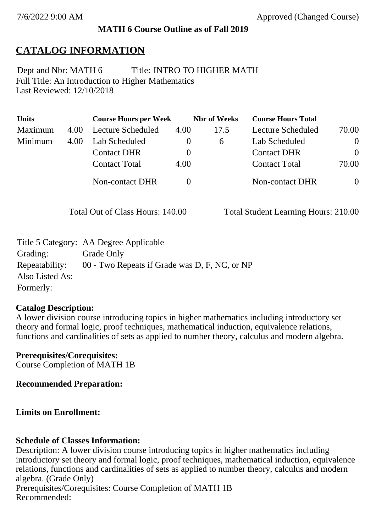#### **MATH 6 Course Outline as of Fall 2019**

## **CATALOG INFORMATION**

Full Title: An Introduction to Higher Mathematics Last Reviewed: 12/10/2018 Dept and Nbr: MATH 6 Title: INTRO TO HIGHER MATH

| <b>Units</b> |      | <b>Course Hours per Week</b> |          | <b>Nbr</b> of Weeks | <b>Course Hours Total</b> |                |
|--------------|------|------------------------------|----------|---------------------|---------------------------|----------------|
| Maximum      | 4.00 | Lecture Scheduled            | 4.00     | 17.5                | Lecture Scheduled         | 70.00          |
| Minimum      | 4.00 | Lab Scheduled                | $\bf{0}$ | 6                   | Lab Scheduled             | $\overline{0}$ |
|              |      | <b>Contact DHR</b>           | $\theta$ |                     | <b>Contact DHR</b>        | $\theta$       |
|              |      | <b>Contact Total</b>         | 4.00     |                     | <b>Contact Total</b>      | 70.00          |
|              |      | Non-contact DHR              |          |                     | Non-contact DHR           | $\overline{0}$ |

Total Out of Class Hours: 140.00 Total Student Learning Hours: 210.00

|                 | Title 5 Category: AA Degree Applicable        |
|-----------------|-----------------------------------------------|
| Grading:        | Grade Only                                    |
| Repeatability:  | 00 - Two Repeats if Grade was D, F, NC, or NP |
| Also Listed As: |                                               |
| Formerly:       |                                               |

#### **Catalog Description:**

A lower division course introducing topics in higher mathematics including introductory set theory and formal logic, proof techniques, mathematical induction, equivalence relations, functions and cardinalities of sets as applied to number theory, calculus and modern algebra.

**Prerequisites/Corequisites:** Course Completion of MATH 1B

**Recommended Preparation:**

#### **Limits on Enrollment:**

#### **Schedule of Classes Information:**

Description: A lower division course introducing topics in higher mathematics including introductory set theory and formal logic, proof techniques, mathematical induction, equivalence relations, functions and cardinalities of sets as applied to number theory, calculus and modern algebra. (Grade Only) Prerequisites/Corequisites: Course Completion of MATH 1B Recommended: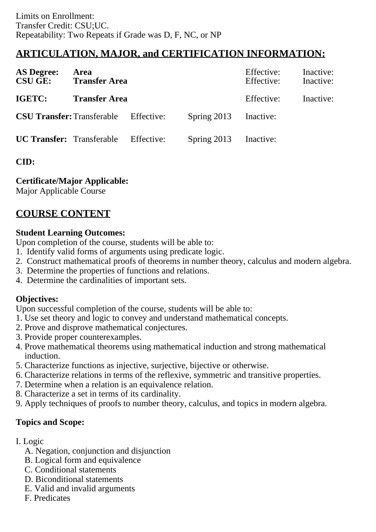# **ARTICULATION, MAJOR, and CERTIFICATION INFORMATION:**

| <b>AS Degree:</b><br><b>CSU GE:</b> | Area<br><b>Transfer Area</b> |            |               | Effective:<br>Effective: | Inactive:<br>Inactive: |
|-------------------------------------|------------------------------|------------|---------------|--------------------------|------------------------|
| IGETC:                              | <b>Transfer Area</b>         |            |               | Effective:               | Inactive:              |
| <b>CSU Transfer: Transferable</b>   |                              | Effective: | Spring $2013$ | Inactive:                |                        |
| <b>UC Transfer:</b> Transferable    |                              | Effective: | Spring $2013$ | Inactive:                |                        |

## **CID:**

### **Certificate/Major Applicable:**

[Major Applicable Course](SR_ClassCheck.aspx?CourseKey=MATH6)

## **COURSE CONTENT**

#### **Student Learning Outcomes:**

Upon completion of the course, students will be able to:

- 1. Identify valid forms of arguments using predicate logic.
- 2. Construct mathematical proofs of theorems in number theory, calculus and modern algebra.
- 3. Determine the properties of functions and relations.
- 4. Determine the cardinalities of important sets.

## **Objectives:**

Upon successful completion of the course, students will be able to:

- 1. Use set theory and logic to convey and understand mathematical concepts.
- 2. Prove and disprove mathematical conjectures.
- 3. Provide proper counterexamples.
- 4. Prove mathematical theorems using mathematical induction and strong mathematical induction.
- 5. Characterize functions as injective, surjective, bijective or otherwise.
- 6. Characterize relations in terms of the reflexive, symmetric and transitive properties.
- 7. Determine when a relation is an equivalence relation.
- 8. Characterize a set in terms of its cardinality.
- 9. Apply techniques of proofs to number theory, calculus, and topics in modern algebra.

## **Topics and Scope:**

- I. Logic
	- A. Negation, conjunction and disjunction
	- B. Logical form and equivalence
	- C. Conditional statements
	- D. Biconditional statements
	- E. Valid and invalid arguments
	- F. Predicates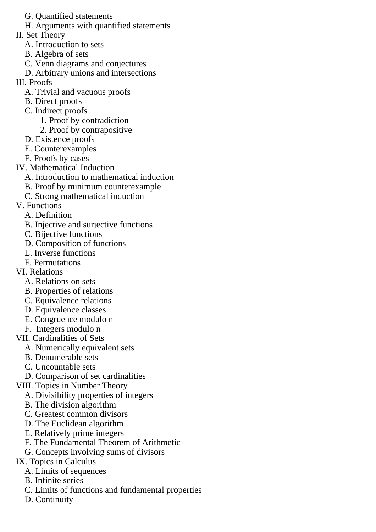- G. Quantified statements
- H. Arguments with quantified statements
- II. Set Theory
	- A. Introduction to sets
	- B. Algebra of sets
	- C. Venn diagrams and conjectures
	- D. Arbitrary unions and intersections
- III. Proofs
	- A. Trivial and vacuous proofs
	- B. Direct proofs
	- C. Indirect proofs
		- 1. Proof by contradiction
		- 2. Proof by contrapositive
	- D. Existence proofs
	- E. Counterexamples
	- F. Proofs by cases
- IV. Mathematical Induction
	- A. Introduction to mathematical induction
	- B. Proof by minimum counterexample
	- C. Strong mathematical induction
- V. Functions
	- A. Definition
	- B. Injective and surjective functions
	- C. Bijective functions
	- D. Composition of functions
	- E. Inverse functions
	- F. Permutations
- VI. Relations
	- A. Relations on sets
	- B. Properties of relations
	- C. Equivalence relations
	- D. Equivalence classes
	- E. Congruence modulo n
	- F. Integers modulo n
- VII. Cardinalities of Sets
	- A. Numerically equivalent sets
	- B. Denumerable sets
	- C. Uncountable sets
- D. Comparison of set cardinalities
- VIII. Topics in Number Theory
	- A. Divisibility properties of integers
	- B. The division algorithm
	- C. Greatest common divisors
	- D. The Euclidean algorithm
	- E. Relatively prime integers
	- F. The Fundamental Theorem of Arithmetic
	- G. Concepts involving sums of divisors

## IX. Topics in Calculus

- A. Limits of sequences
- B. Infinite series
- C. Limits of functions and fundamental properties
- D. Continuity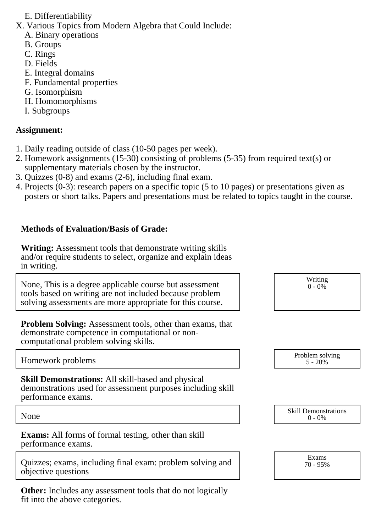#### E. Differentiability

X. Various Topics from Modern Algebra that Could Include:

- A. Binary operations
- B. Groups
- C. Rings
- D. Fields
- E. Integral domains
- F. Fundamental properties
- G. Isomorphism
- H. Homomorphisms
- I. Subgroups

## **Assignment:**

- 1. Daily reading outside of class (10-50 pages per week).
- 2. Homework assignments (15-30) consisting of problems (5-35) from required text(s) or supplementary materials chosen by the instructor.
- 3. Quizzes (0-8) and exams (2-6), including final exam.
- 4. Projects (0-3): research papers on a specific topic (5 to 10 pages) or presentations given as posters or short talks. Papers and presentations must be related to topics taught in the course.

## **Methods of Evaluation/Basis of Grade:**

**Writing:** Assessment tools that demonstrate writing skills and/or require students to select, organize and explain ideas in writing.

None, This is a degree applicable course but assessment tools based on writing are not included because problem solving assessments are more appropriate for this course.

**Problem Solving:** Assessment tools, other than exams, that demonstrate competence in computational or noncomputational problem solving skills.

Homework problems and the problem solving the problem solving the problem solving the Problem solving the Problem solving the Problem solving the Problem solving the Problem solving the Problem solving the Problem solving

**Skill Demonstrations:** All skill-based and physical demonstrations used for assessment purposes including skill performance exams.

**Exams:** All forms of formal testing, other than skill performance exams.

Quizzes; exams, including final exam: problem solving and objective questions

**Other:** Includes any assessment tools that do not logically fit into the above categories.

Writing  $0 - 0\%$ 

5 - 20%

None Skill Demonstrations<br>  $\begin{array}{c} \text{Skill Demonstructions} \\ 0 - 0\% \end{array}$  $0 - 0\%$ 

> Exams 70 - 95%